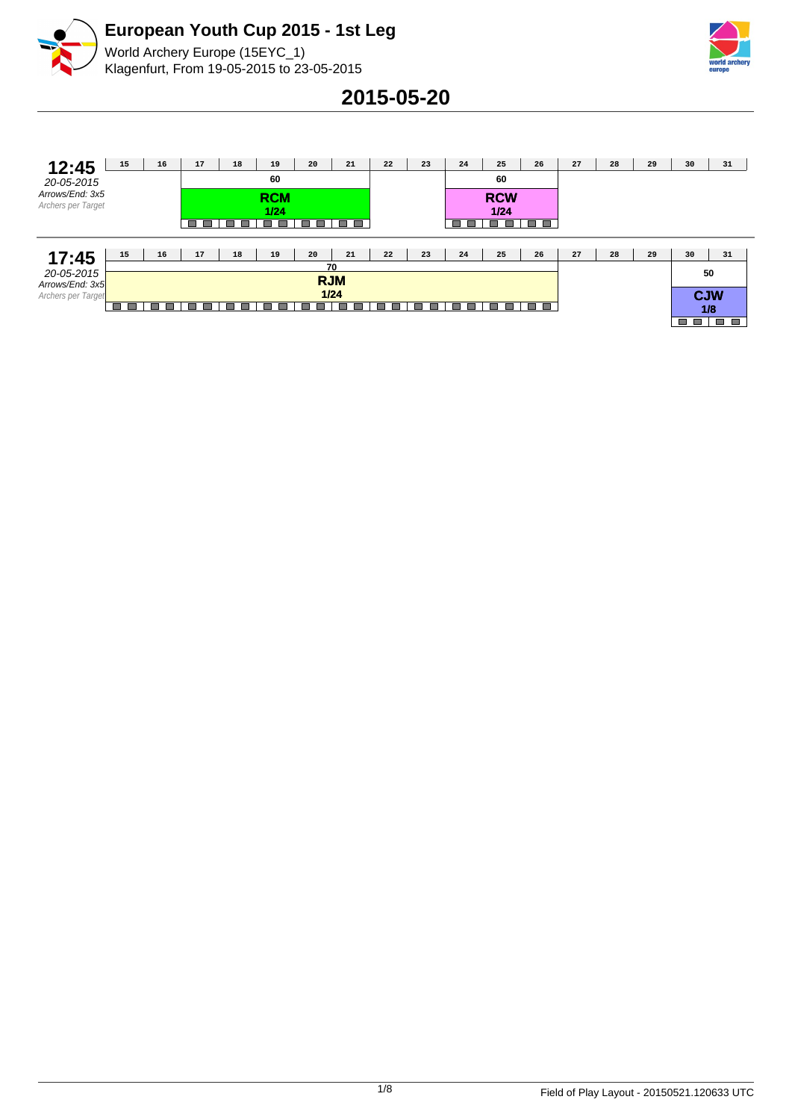



World Archery Europe (15EYC\_1) Klagenfurt, From 19-05-2015 to 23-05-2015

**2015-05-20**

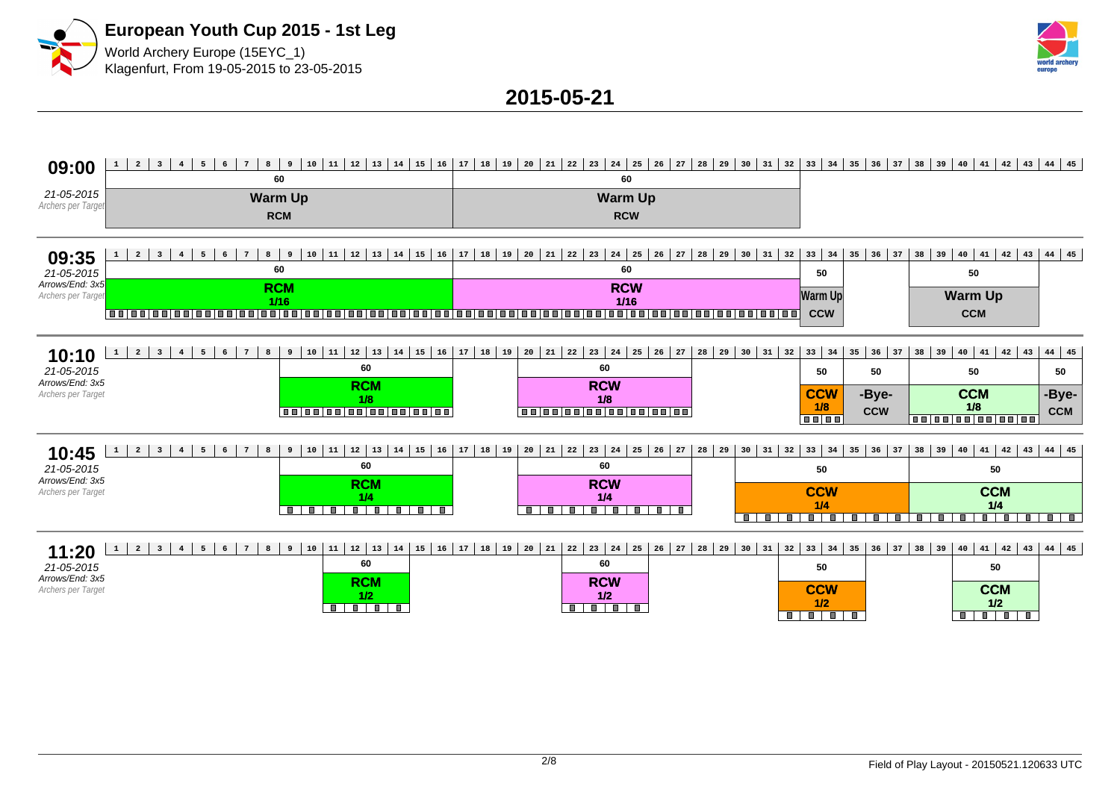



**2015-05-21**

# 09:00 1 2 3 4 5 6 7 8 9 10 11 12 13 14 15 16 17 18 19 20 21 22 23 24 25 26 27 28 29 30 31 32 33 34 35 36 37 38 39 40 41 42 43 44 45

|                                  | 60         | 60             |
|----------------------------------|------------|----------------|
| 21-05-2015<br>Archers per Target | Warm Up    | <b>Warm Up</b> |
|                                  | <b>RCM</b> | <b>RCW</b>     |

### **09:35** 21-05-2015 **1 2 3 4 5 6 7 8 9 10 11 12 13 14 15 16 17 18 19 20 21 22 23 24 25 26 27 28 29 30 31 32 33 34 35 36 37 38 39 40 41 42 43 44 45 60 60 50 50**

Arrows/End: 3x5 Archers per Target **RCM 1/16 RCW 1/16 Warm Up CCW**

**Warm Up CCM**

| 10:10<br>21-05-2015                       | 11   12   13   14  <br>10<br>60       | 15   16   17   18   19   20   21   22   23   24   25   26   27   28   29   30   31   32  <br>60 |                                            | $33 \mid 34 \mid 35 \mid 36 \mid 37 \mid$<br>50 | 50                  | 40 41 42 43 44 45 <br>$38 \mid 39 \mid$<br>50 |                       |
|-------------------------------------------|---------------------------------------|-------------------------------------------------------------------------------------------------|--------------------------------------------|-------------------------------------------------|---------------------|-----------------------------------------------|-----------------------|
| Arrows/End: 3x5<br>Archers per Target     | <b>RCM</b><br>1/8<br>0000000000000000 | <b>RCW</b><br>1/8<br>1001001001001001001001                                                     |                                            | <b>CCW</b><br>1/8<br><b>TELET</b>               | -Bye-<br><b>CCW</b> | <b>CCM</b><br>1/8<br>000000000000             | , -Bye-<br><b>CCM</b> |
| 10:45<br>6<br>8<br><b>.</b>               | 11   12   13   14  <br>10             | 15   16   17   18   19   20   21   22   23                                                      | 24   25   26   27   28   29   30   31   32 | 33   34   35   36   37   38   39                |                     | 40 41 42 43 44 45                             |                       |
| $\sim$ $\sim$ $\sim$ $\sim$ $\sim$ $\sim$ | 60                                    | 60.                                                                                             |                                            |                                                 |                     |                                               |                       |

| 1 V. TJ<br>21-05-2015                 | 60         | 60                | 50                                           | 50                |
|---------------------------------------|------------|-------------------|----------------------------------------------|-------------------|
| Arrows/End: 3x5<br>Archers per Target | <b>DOM</b> | <b>RCW</b><br>1/4 | <b>CCW</b>                                   | <b>CCM</b><br>1/4 |
|                                       |            | a ma              | <b>COLOR</b><br><b>COL</b><br>$\blacksquare$ | <b>III</b>        |

## **11:20** 1 2 3 4 5 6 7 8 9 10 11 12 13 14 15 16 17 18 19 20 21 22 23 24 25 26 27 28 29 30 31 32 33 34 35 36 37 38 39 40 41 42 43 44 45

| .<br>21-05-2015    | 60         | 60         | 50         | 50         |
|--------------------|------------|------------|------------|------------|
| Arrows/End: 3x5    | <b>DOM</b> | <b>RCW</b> | <b>CCW</b> | <b>CCM</b> |
| Archers per Target | w          | 1/2        | 1/2        | 1/2        |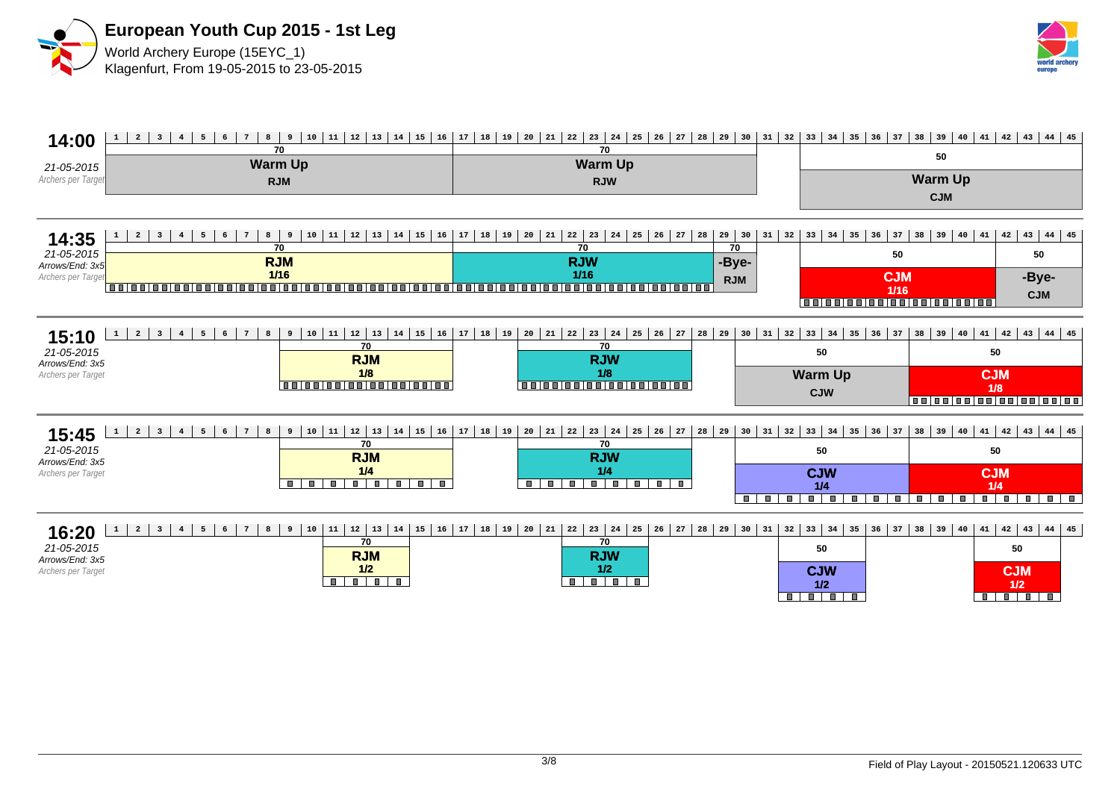



| 14:00                                 | 12<br>13<br>$\overline{a}$<br>8<br>11<br> 14<br>$15 \mid 16$<br>$7^{\circ}$<br>9<br>$10$<br>$\overline{\mathbf{3}}$<br>6<br>$4\overline{ }$<br>5<br>$\mathbf{1}$<br>70 | 23<br>24<br>28<br>17<br>19<br>$\frac{20}{20}$<br>  $21$  <br>22<br>25<br>26<br>$\frac{1}{27}$<br>29<br>18<br>70 | 30<br>31<br>32                                                                                                             | 35<br>36<br>33<br>34     | 37<br>38<br>39<br>40   | $41 \mid 42 \mid 43 \mid 44 \mid 45$                |
|---------------------------------------|------------------------------------------------------------------------------------------------------------------------------------------------------------------------|-----------------------------------------------------------------------------------------------------------------|----------------------------------------------------------------------------------------------------------------------------|--------------------------|------------------------|-----------------------------------------------------|
| 21-05-2015                            | <b>Warm Up</b>                                                                                                                                                         | <b>Warm Up</b>                                                                                                  |                                                                                                                            |                          | 50                     |                                                     |
| Archers per Target                    | <b>RJM</b>                                                                                                                                                             | <b>RJW</b>                                                                                                      |                                                                                                                            |                          | <b>Warm Up</b>         |                                                     |
|                                       |                                                                                                                                                                        |                                                                                                                 |                                                                                                                            |                          | <b>CJM</b>             |                                                     |
|                                       |                                                                                                                                                                        |                                                                                                                 |                                                                                                                            |                          |                        |                                                     |
| 14:35                                 | $\overline{a}$<br>12<br>13<br>14<br>15<br>8<br>10<br>11<br>9<br>16<br>$\overline{\mathbf{3}}$<br>$\overline{\bf 4}$<br>$\mathbf{1}$<br>70                              | 19<br>17<br>18<br>20<br>21<br>22<br>23<br>24<br>26<br>28<br>29<br>25<br>27<br>30<br>70                          | 31<br>32                                                                                                                   | 35<br>33<br>34<br>36     | 39<br>37<br>38<br> 40  | $42 \mid 43 \mid 44 \mid 45$<br>41                  |
| 21-05-2015<br>Arrows/End: 3x5         | <b>RJM</b>                                                                                                                                                             | 70<br><b>RJW</b><br>-Bye-                                                                                       |                                                                                                                            |                          | 50                     | 50                                                  |
| Archers per Target                    | $1/16$                                                                                                                                                                 | $1/16$<br><b>RJM</b>                                                                                            |                                                                                                                            |                          | <b>CJM</b>             | -Bye-                                               |
|                                       |                                                                                                                                                                        | 1 - 1 - 1 - 1 - 1                                                                                               |                                                                                                                            | 0000000000000000000      | $1/16$                 | <b>CJM</b>                                          |
|                                       |                                                                                                                                                                        |                                                                                                                 |                                                                                                                            |                          |                        |                                                     |
| 15:10                                 | 12<br>$\overline{a}$<br>11<br>$7\phantom{.0}$<br>$10$<br>13<br>15<br>$\mathbf{1}$<br>$\overline{\mathbf{3}}$<br>$4\overline{ }$<br>5<br>6<br>8<br>9<br>14<br>16        | 28<br>17<br>  19<br>23<br>18<br>21<br>22<br>24<br>26<br>27<br>29<br>20<br>25                                    | 30<br>31<br>32                                                                                                             | 36<br>33<br>34<br>35     | 37<br>38<br>$39$<br>40 | $41 \mid 42 \mid 43 \mid 44 \mid 45$                |
| 21-05-2015                            | 70<br><b>RJM</b>                                                                                                                                                       | 70<br><b>RJW</b>                                                                                                |                                                                                                                            | 50                       |                        | 50                                                  |
| Arrows/End: 3x5<br>Archers per Target | 1/8                                                                                                                                                                    | 1/8                                                                                                             |                                                                                                                            | <b>Warm Up</b>           |                        | <b>CJM</b>                                          |
|                                       | 0000000000000000                                                                                                                                                       | 00000000000000000                                                                                               |                                                                                                                            | <b>CJW</b>               |                        | 1/8<br>0000000000000000000                          |
|                                       |                                                                                                                                                                        |                                                                                                                 |                                                                                                                            |                          |                        |                                                     |
| 15:45                                 | 12<br>$\overline{a}$<br>11<br>13<br>$\mathbf{1}$<br>10<br>15<br>$\overline{\mathbf{3}}$<br>5<br>8<br>9<br>14<br>16<br>$\overline{4}$                                   | 23<br>17<br>18<br>19<br>21<br>24<br>28<br>29<br>20<br>22<br>25<br>26<br>27                                      | 30<br>31<br>32                                                                                                             | 36<br>33<br>34<br>35     | 37<br>39<br>38<br>40   | 44 45<br>$41 \mid 42$<br>43                         |
| 21-05-2015                            | 70<br><b>RJM</b>                                                                                                                                                       | 70<br><b>RJW</b>                                                                                                |                                                                                                                            | 50                       |                        | 50                                                  |
| Arrows/End: 3x5<br>Archers per Target | 1/4                                                                                                                                                                    | 1/4                                                                                                             |                                                                                                                            | <b>CJW</b>               |                        | <b>CJM</b>                                          |
|                                       | T<br>8 8 8 8<br>and and a<br>$\blacksquare$<br>$\blacksquare$                                                                                                          | пı<br>a di provincia di contro<br>$\blacksquare$<br>ш<br>$\blacksquare$<br><b>III</b>                           |                                                                                                                            | 1/4                      |                        | 1/4                                                 |
|                                       |                                                                                                                                                                        |                                                                                                                 | <b>The Contract of the Contract of the Contract of the Contract of the Contract of The Contract of The Contract o</b><br>п | $\blacksquare$<br>п      | п.<br>п<br>Ш           | $\overline{\mathbf{r} \cdot \mathbf{r}}$<br>m.<br>п |
| 16:20                                 | 12<br>$\overline{a}$<br>11<br>8<br>9<br>10<br>13<br>14<br>15<br>16<br>$\mathbf{1}$<br>$\overline{\mathbf{3}}$<br>$\overline{4}$<br>5<br>6<br>$7\overline{ }$           | 19<br>17<br>18<br>22<br>23<br>24<br>26<br>28<br>20<br>21<br>25<br>27<br>29                                      | 30<br>31<br>32                                                                                                             | $33 \mid 34$<br>35<br>36 | 37<br>39<br>38<br>40   | $42 \mid 43$<br>41<br>44 45                         |
| 21-05-2015                            | 70                                                                                                                                                                     | 70                                                                                                              |                                                                                                                            | 50                       |                        | 50                                                  |
| Arrows/End: 3x5<br>Archers per Target | <b>RJM</b><br>1/2                                                                                                                                                      | <b>RJW</b><br>1/2                                                                                               |                                                                                                                            | <b>CJW</b>               |                        | <b>CJM</b>                                          |
|                                       | $\blacksquare$<br>$\blacksquare$                                                                                                                                       |                                                                                                                 |                                                                                                                            | 1/2                      |                        | 1/2                                                 |
|                                       |                                                                                                                                                                        |                                                                                                                 | п                                                                                                                          | $\blacksquare$<br>п      |                        | $\overline{\phantom{a}}$<br>$\blacksquare$<br>т     |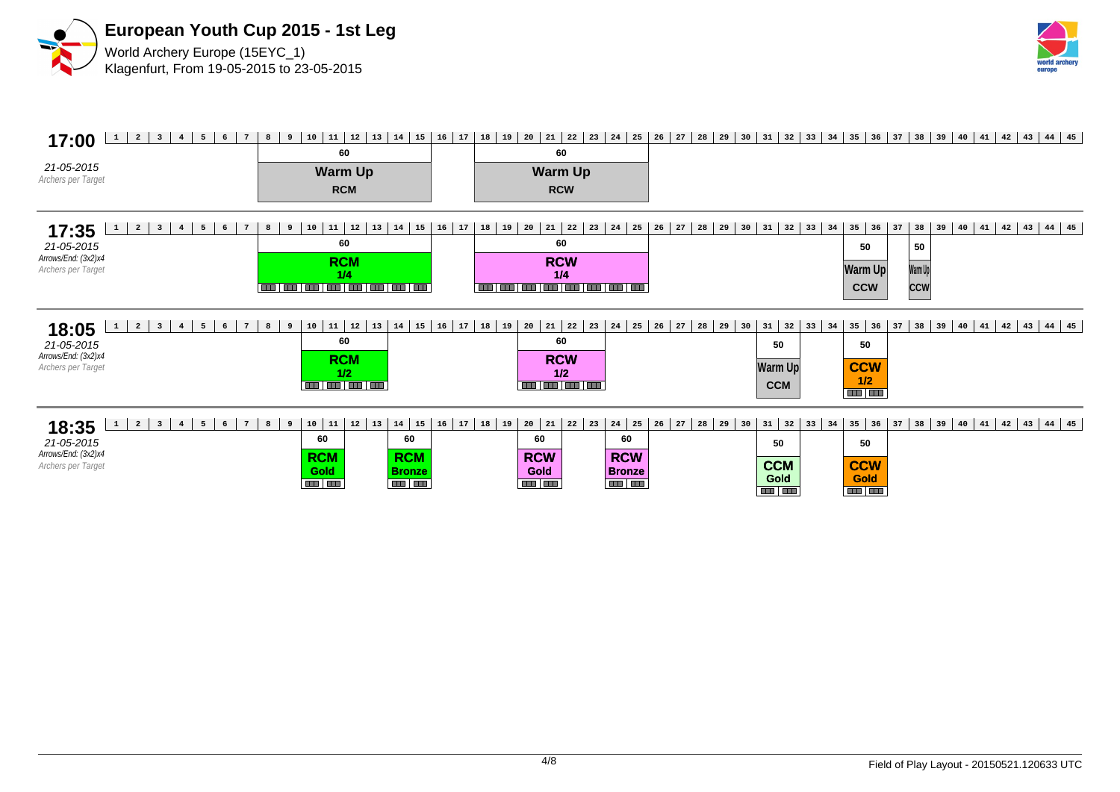



### **17:00** 1 2 3 4 5 6 7 8 9 10 11 12 13 14 15 16 17 18 19 20 21 22 23 24 25 26 27 28 29 30 31 32 33 34 35 36 37 38 39 40 41 42 43 44 45 21-05-2015 Archers per Target **60 Warm Up RCW 60 Warm Up RCM 17:35** 21-05-2015 Arrows/End: (3x2)x4 Archers per Target 8 9 10 11 12 13 14 15 16 17 18 19 20 21 22 23 24 25 26 27 28 29 30 31 32 33 34 35 36 37 38 39 40 41 42 43 44 45 **60 RCM** <mark>. يون السابقة 1/4</mark><br>أحسن السابقة السابقة السابقة السابقة السابقة **60 RCW 1/4 50 Warm Up CCW 50 Warm Up CCW 18:05** 1 2 3 4 5 6 7 8 9 10 11 12 13 14 15 16 17 18 19 20 21 22 23 24 25 26 27 28 29 30 31 32 33 34 35 36 37 38 39 40 41 42 43 44 45 21-05-2015 Arrows/End: (3x2)x4 Archers per Target **60 RCM 1/2**<br>**111 | 111 | 111 | 111 60 RCW 1/2 50 CCW 1/2 50 Warm Up CCM 18:35** 1 2 3 4 5 6 7 8 9 10 11 12 13 14 15 16 17 18 19 20 21 22 23 24 25 26 27 28 29 30 31 32 33 34 35 36 37 38 39 40 41 42 43 44 45 21-05-2015 Arrows/End: (3x2)x4 Archers per Target **60 RCM Gold 60 RCM Bronze 60 RCW Gold 60 RCW Bronze 50 CCM Gold 50 CCW Gold**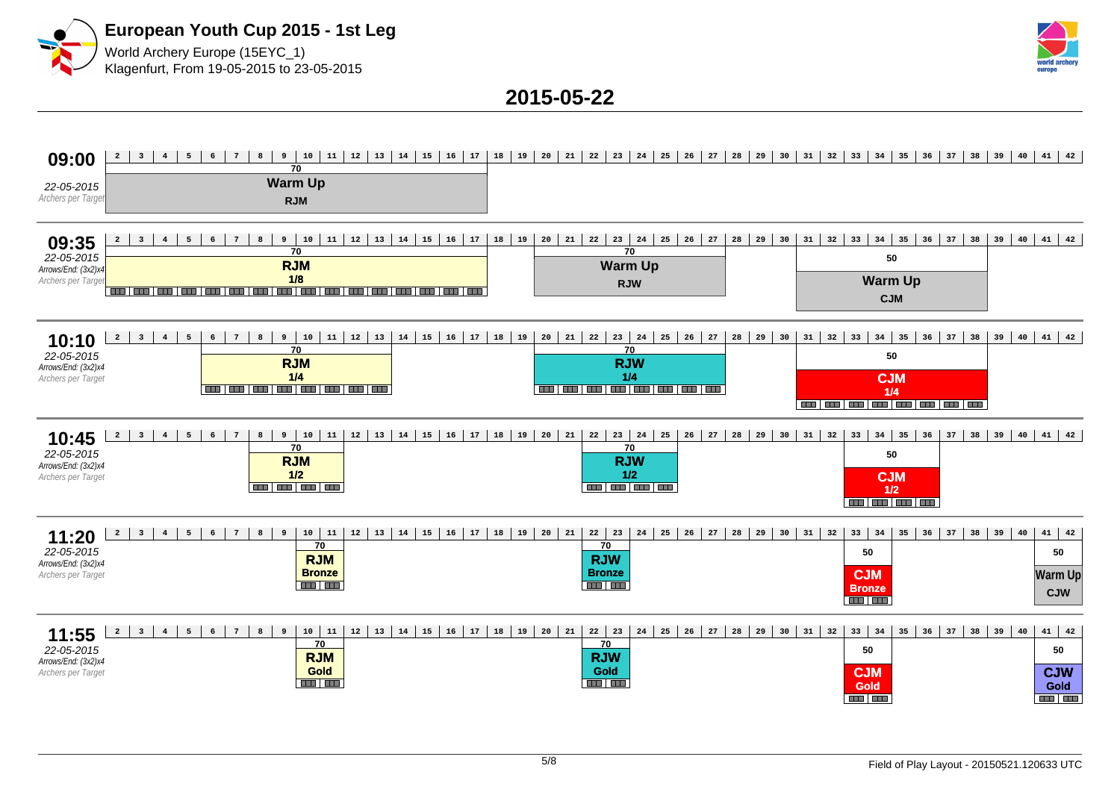



### **2015-05-22**

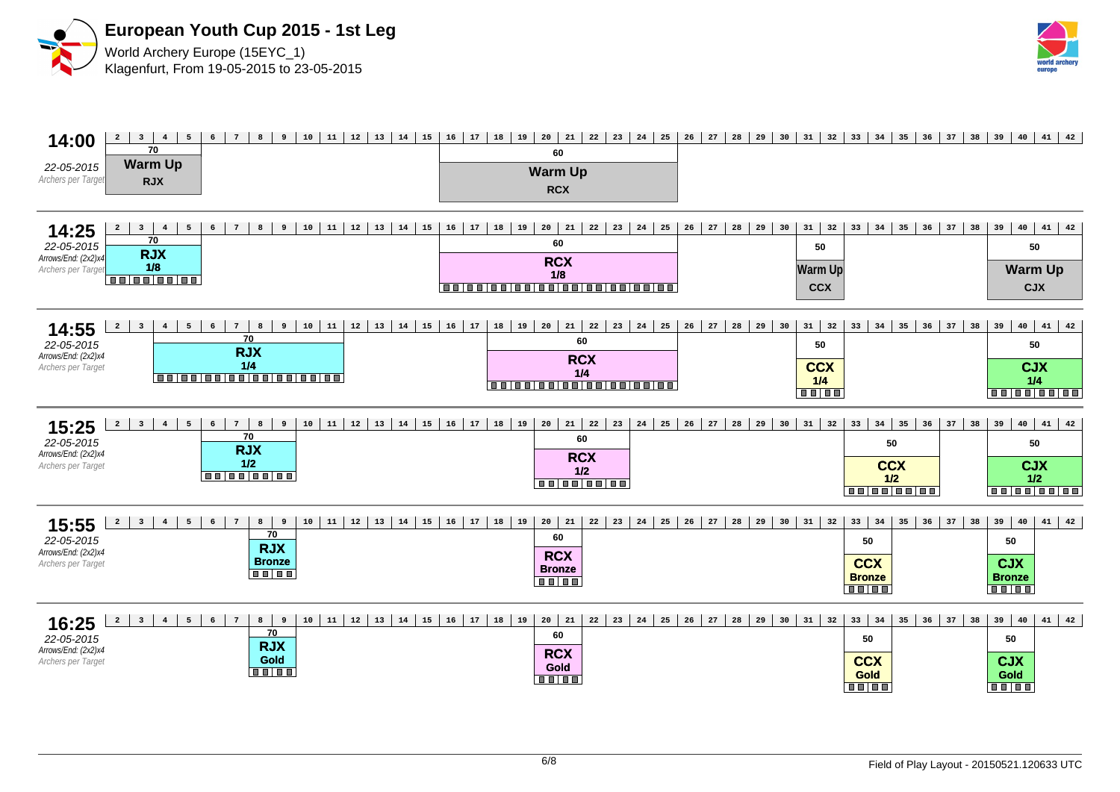



| 14:00                                                            | $12 \mid 13$<br>$20 \mid 21 \mid$<br>10<br>11<br>$14 \mid 15$<br>16<br>$17 \mid 18 \mid$<br>19<br>$22 \mid 23$<br>24<br>25<br>26<br>27<br>28<br>29<br>30<br>31<br>32<br>$\overline{2}$<br>$\overline{\mathbf{3}}$<br>4<br>5<br>$6\overline{6}$<br>8<br>$7\phantom{.0}$<br>9                                                                                                               | 33<br>34<br>35<br> 36 <br>37<br>38                                                                                     | 40<br>$41 \mid 42$<br>39                                                  |
|------------------------------------------------------------------|-------------------------------------------------------------------------------------------------------------------------------------------------------------------------------------------------------------------------------------------------------------------------------------------------------------------------------------------------------------------------------------------|------------------------------------------------------------------------------------------------------------------------|---------------------------------------------------------------------------|
| 22-05-2015<br>Archers per Target                                 | 70<br>60<br><b>Warm Up</b><br><b>Warm Up</b><br><b>RJX</b><br><b>RCX</b>                                                                                                                                                                                                                                                                                                                  |                                                                                                                        |                                                                           |
|                                                                  |                                                                                                                                                                                                                                                                                                                                                                                           |                                                                                                                        |                                                                           |
| 14:25<br>22-05-2015<br>Arrows/End: (2x2)x4<br>Archers per Target | $12 \mid 13$<br>14<br>16<br>$17$ 18 19<br>$20 \mid 21$<br>$28$ 29<br>$31 \mid 32$<br>8<br>10<br>11<br>15<br>22<br>23<br>24<br>25<br>26<br>27<br>30<br>$\overline{a}$<br>3 <sup>1</sup><br>$\overline{4}$<br>5<br>6<br>$7\overline{ }$<br>9<br>70<br>60<br>50<br><b>RJX</b><br><b>RCX</b><br>1/8<br><b>Warm Up</b><br>1/8<br>00100100100<br>,,,,,,,,,,,,,,,,,,,,,,,,<br><b>CCX</b>         | $33 \mid 34$<br>35<br>$36 \mid 37 \mid$<br>38                                                                          | $40 \mid 41 \mid 42$<br>39<br>50<br><b>Warm Up</b><br><b>CJX</b>          |
| 14:55<br>22-05-2015<br>Arrows/End: (2x2)x4<br>Archers per Target | 13<br>15<br>16<br>21<br>23<br>$28$ 29<br>$31 \mid 32$<br>8<br>10<br>11<br>12<br>14<br>17<br>18<br>19<br>20<br>22<br>24<br>25<br>26<br>27<br>30<br>$\overline{a}$<br>6<br>$7^{\circ}$<br>9<br>$\overline{\mathbf{3}}$<br>$\overline{4}$<br>5<br>70<br>60<br>50<br><b>RJX</b><br><b>RCX</b><br>1/4<br><b>CCX</b><br>1/4<br>00000000000000000<br>1/4<br>00100100100100100100<br><b>BELEE</b> | 34<br>35<br>$36 \mid 37 \mid$<br>33<br>38                                                                              | $41 \mid 42$<br>39<br>40<br>50<br><b>CJX</b><br>1/4<br><b>Bulgalooloo</b> |
| 15:25<br>22-05-2015<br>Arrows/End: (2x2)x4<br>Archers per Target | 21<br>$\overline{a}$<br>11<br>12<br>13<br>16<br>17<br>18<br>22<br>23<br>26<br>27<br>28<br>29<br>$31 \mid 32$<br>$\overline{\mathbf{3}}$<br>8<br>10<br>14<br>15<br>19<br>20<br>24<br>25<br>30<br>$\overline{4}$<br>5<br>6<br>7 <sup>7</sup><br>9<br>70<br>60<br><b>RJX</b><br><b>RCX</b><br>$1/2$<br>1/2<br>00000000<br>00000000                                                           | $34 \mid 35$<br>33<br>$\begin{array}{c} 36 \end{array}$<br>37<br>38<br>50<br><b>CCX</b><br>1/2<br>00000000             | $40 \mid 41 \mid 42$<br>39<br>50<br><b>CJX</b><br>1/2<br><b>00000000</b>  |
| 15:55<br>22-05-2015<br>Arrows/End: (2x2)x4<br>Archers per Target | 10<br>11<br>12<br>13<br>15<br>16<br>17<br>20<br>21<br>23<br>24<br>25<br>26<br>27<br>29<br>31<br>14<br>18<br>19<br>22<br>28<br>30<br>32<br>$\overline{a}$<br>$\overline{\mathbf{3}}$<br>$4\overline{ }$<br>5<br>6<br>$7\phantom{.0}$<br>8<br>9<br>70<br>60<br><b>RJX</b><br><b>RCX</b><br><b>Bronze</b><br><b>Bronze</b><br>$\blacksquare$ $\blacksquare$ $\blacksquare$<br>.              | 33<br>$\begin{array}{c} 34 \end{array}$<br>35<br>36<br>37<br>38<br>50<br><b>CCX</b><br><b>Bronze</b><br>$\blacksquare$ | $41 \mid 42$<br>39<br>40<br>50<br><b>CJX</b><br><b>Bronze</b>             |
| 16:25<br>22-05-2015<br>Arrows/End: (2x2)x4<br>Archers per Target | $\mathbf{2}$<br>12<br>13<br>16<br>17<br>20<br>21<br>23<br>29<br>$31 \mid 32$<br>$\overline{\mathbf{3}}$<br>8<br>9<br>10<br>11<br>14<br>15<br>$18$   19<br>24<br>25<br>26<br>27<br>28<br>30<br>$4\overline{ }$<br>5<br>6<br>$7\overline{ }$<br>22<br>70<br>60<br><b>RJX</b><br><b>RCX</b><br>Gold<br>Gold<br><b>BB 88</b><br><b>.</b>                                                      | $33 \mid 34$<br>$36$ 37 38<br>35<br>50<br><b>CCX</b><br>Gold<br><b>BB BB</b>                                           | 39<br>40<br>$41 \mid 42$<br>50<br><b>CJX</b><br>Gold<br><b>Balas</b>      |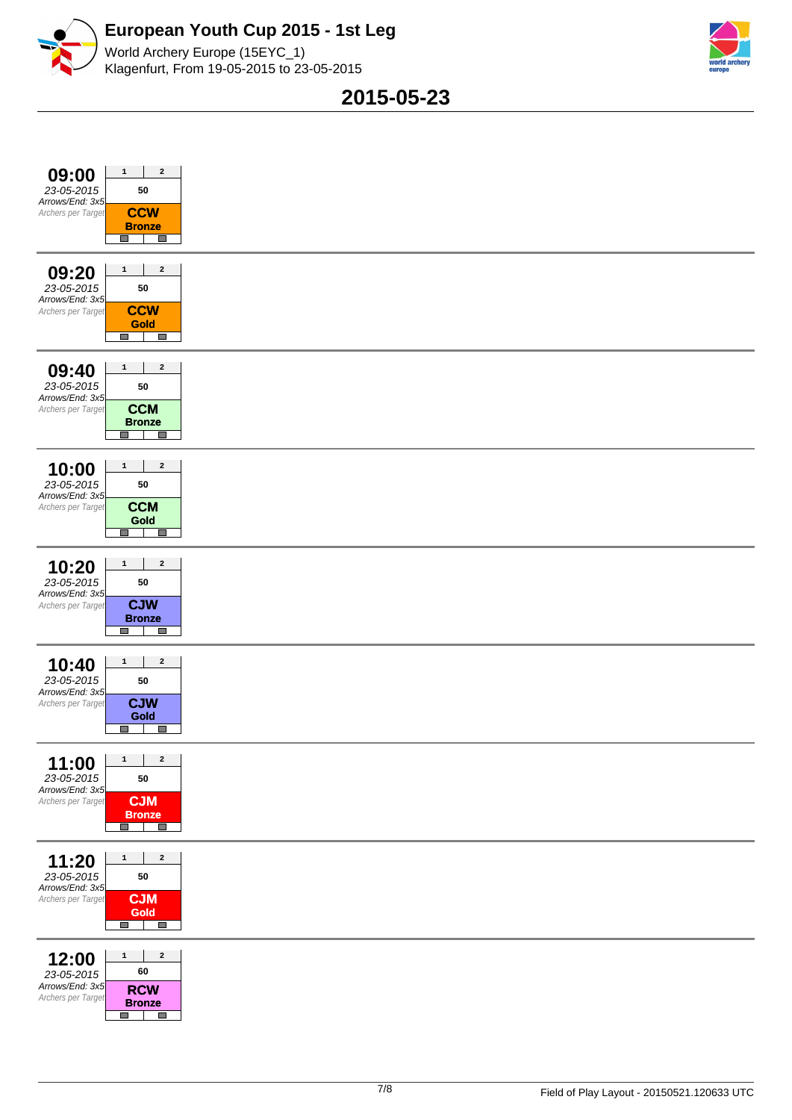



World Archery Europe (15EYC\_1) Klagenfurt, From 19-05-2015 to 23-05-2015

**2015-05-23**

| $\mathbf 2$<br>$\mathbf 1$<br>09:00<br>23-05-2015<br>50<br>Arrows/End: 3x5<br><b>CCW</b><br>Archers per Target<br><b>Bronze</b><br>$\Box$<br>$\Box$                                                                                                                                                                                                                                                                                                                                                                                                                     |
|-------------------------------------------------------------------------------------------------------------------------------------------------------------------------------------------------------------------------------------------------------------------------------------------------------------------------------------------------------------------------------------------------------------------------------------------------------------------------------------------------------------------------------------------------------------------------|
| $\mathbf{2}% =\mathbf{2}+\mathbf{2}+\mathbf{3}+\mathbf{5}+\mathbf{5}+\mathbf{5}+\mathbf{6}+\mathbf{6}+\mathbf{5}+\mathbf{5}+\mathbf{6}+\mathbf{5}+\mathbf{6}+\mathbf{6}+\mathbf{5}+\mathbf{5}+\mathbf{6}+\mathbf{5}+\mathbf{6}+\mathbf{6}+\mathbf{5}+\mathbf{6}+\mathbf{6}+\mathbf{5}+\mathbf{6}+\mathbf{6}+\mathbf{6}+\mathbf{6}+\mathbf{6}+\mathbf{6}+\mathbf{6}+\mathbf{6}+\mathbf{6}+\mathbf{6}+\mathbf{6}+\mathbf$<br>09:20<br>$\mathbf 1$<br>23-05-2015<br>${\bf 50}$<br>Arrows/End: 3x5<br><b>CCW</b><br>Archers per Target<br>Gold<br><b>I</b><br>$\mathcal{L}$ |
| $\mathbf 1$<br>$\mathbf{2}% =\mathbf{1}_{B}\left( \mathbf{1}_{B}\right) ^{\ast}\mathbf{1}_{B}\left( \mathbf{1}_{B}\right)$<br>09:40<br>23-05-2015<br>50<br>Arrows/End: 3x5<br><b>CCM</b><br>Archers per Target<br><b>Bronze</b><br>$\Box$<br>$\Box$                                                                                                                                                                                                                                                                                                                     |
| $\mathbf 1$<br>$\mathbf{2}$<br>10:00<br>23-05-2015<br>${\bf 50}$<br>Arrows/End: 3x5<br><b>CCM</b><br>Archers per Target<br>Gold<br>$\Box$<br>E.                                                                                                                                                                                                                                                                                                                                                                                                                         |
| 10:20<br>$\mathbf 1$<br>$\mathbf{2}$<br>23-05-2015<br>${\bf 50}$<br>Arrows/End: 3x5<br><b>CJW</b><br>Archers per Target<br><b>Bronze</b><br><b>In</b><br>$\Box$                                                                                                                                                                                                                                                                                                                                                                                                         |
| 10:40<br>$\mathbf 1$<br>$\mathbf{2}$<br>23-05-2015<br>${\bf 50}$<br>Arrows/End: 3x5<br><b>CJW</b><br>Archers per Target<br>Gold<br>$\Box$<br>$\Box$                                                                                                                                                                                                                                                                                                                                                                                                                     |
| 11:00 $\frac{1}{2}$<br>23-05-2015<br>50<br>Arrows/End: 3x5<br><b>CJM</b><br>Archers per Target<br><b>Bronze</b><br>$\overline{\phantom{a}}$<br>$\overline{\phantom{a}}$                                                                                                                                                                                                                                                                                                                                                                                                 |
| $\mathbf 2$<br>11:20<br>$\mathbf{1}$<br>23-05-2015<br>50<br>Arrows/End: 3x5<br><b>CJM</b><br>Archers per Target<br><b>Gold</b><br><b>I</b><br>$\sim$                                                                                                                                                                                                                                                                                                                                                                                                                    |
| $\mathbf{2}$<br>12:00<br>$\mathbf 1$<br>60<br>23-05-2015<br>Arrows/End: 3x5<br><b>RCW</b><br>Archers per Target<br><b>Bronze</b><br>$\Box$<br>$\Box$                                                                                                                                                                                                                                                                                                                                                                                                                    |